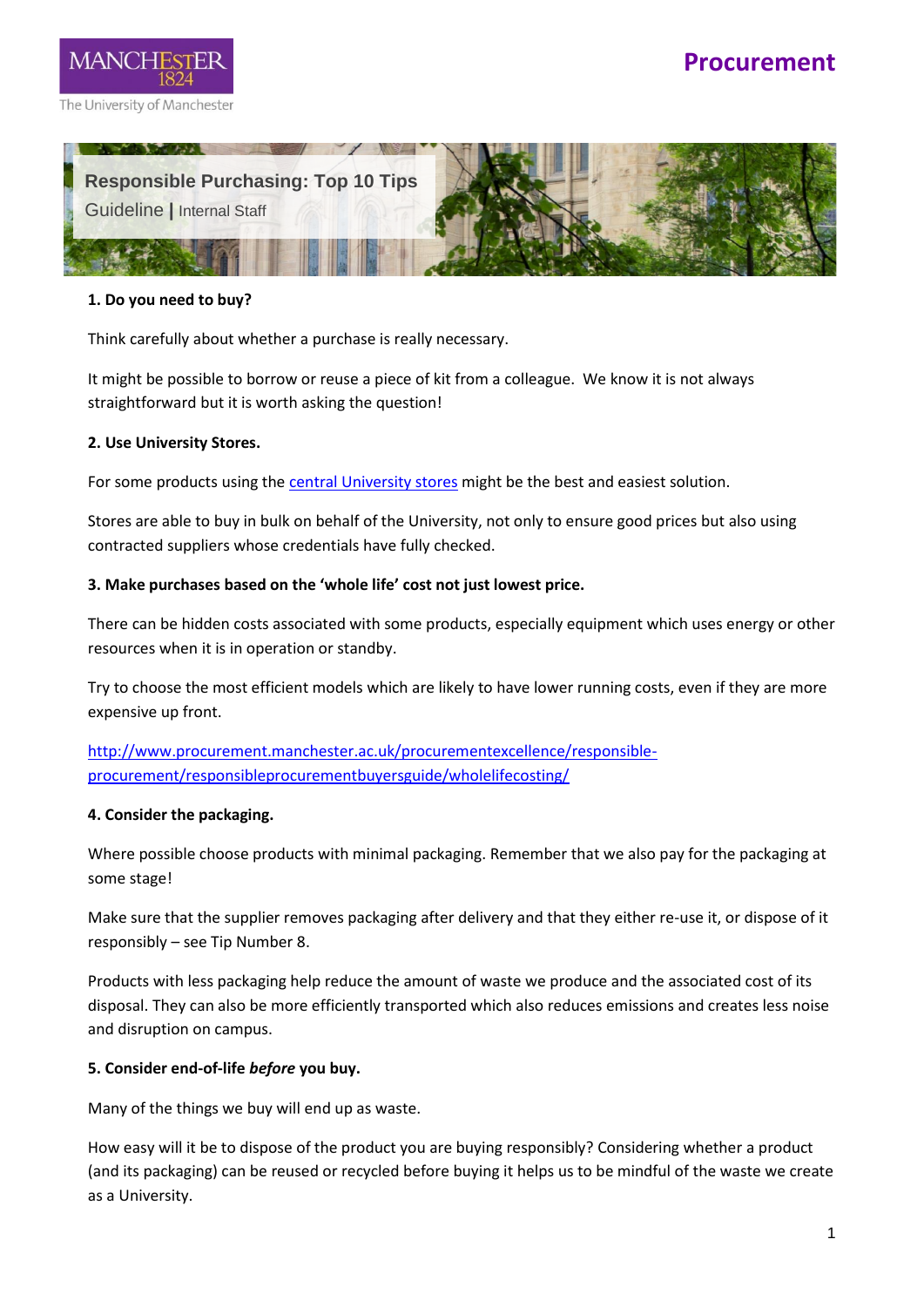





#### **1. Do you need to buy?**

Think carefully about whether a purchase is really necessary.

It might be possible to borrow or reuse a piece of kit from a colleague. We know it is not always straightforward but it is worth asking the question!

## **2. Use University Stores.**

For some products using the [central University stores](file:///C:/Users/mllxabw4/Procurement%20Dropbox/Benedict%20White/Ben%20&%20Maria/Document%20repository/Stores.docx) might be the best and easiest solution.

Stores are able to buy in bulk on behalf of the University, not only to ensure good prices but also using contracted suppliers whose credentials have fully checked.

## **3. Make purchases based on the 'whole life' cost not just lowest price.**

There can be hidden costs associated with some products, especially equipment which uses energy or other resources when it is in operation or standby.

Try to choose the most efficient models which are likely to have lower running costs, even if they are more expensive up front.

[http://www.procurement.manchester.ac.uk/procurementexcellence/responsible](http://www.procurement.manchester.ac.uk/procurementexcellence/responsible-procurement/responsibleprocurementbuyersguide/wholelifecosting/)[procurement/responsibleprocurementbuyersguide/wholelifecosting/](http://www.procurement.manchester.ac.uk/procurementexcellence/responsible-procurement/responsibleprocurementbuyersguide/wholelifecosting/)

#### **4. Consider the packaging.**

Where possible choose products with minimal packaging. Remember that we also pay for the packaging at some stage!

Make sure that the supplier removes packaging after delivery and that they either re-use it, or dispose of it responsibly – see Tip Number 8.

Products with less packaging help reduce the amount of waste we produce and the associated cost of its disposal. They can also be more efficiently transported which also reduces emissions and creates less noise and disruption on campus.

#### **5. Consider end-of-life** *before* **you buy.**

Many of the things we buy will end up as waste.

How easy will it be to dispose of the product you are buying responsibly? Considering whether a product (and its packaging) can be reused or recycled before buying it helps us to be mindful of the waste we create as a University.